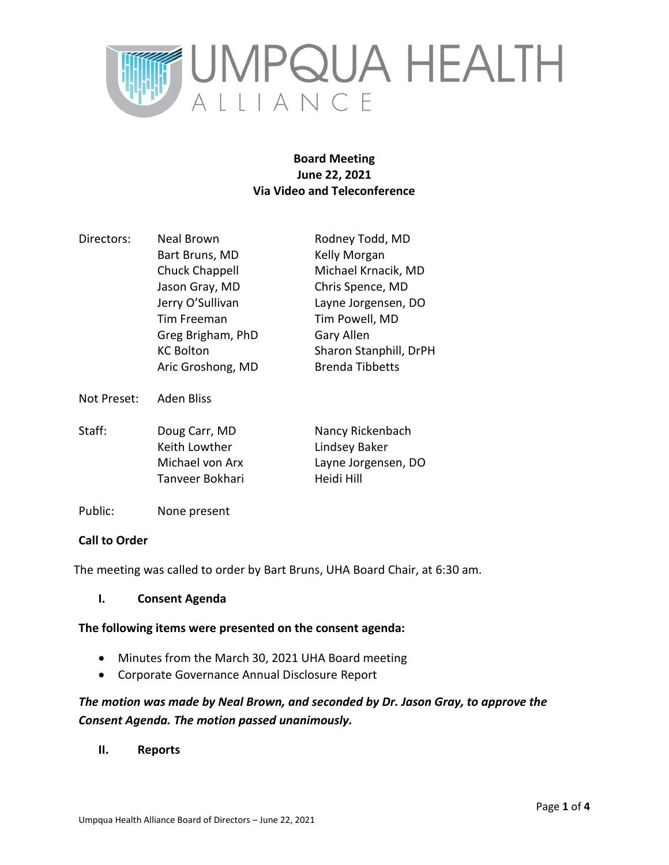

# **Board Meeting June 22, 2021 Via Video and Teleconference**

| Directors:  | <b>Neal Brown</b> | Rodney Todd, MD        |
|-------------|-------------------|------------------------|
|             | Bart Bruns, MD    | Kelly Morgan           |
|             | Chuck Chappell    | Michael Krnacik, MD    |
|             | Jason Gray, MD    | Chris Spence, MD       |
|             | Jerry O'Sullivan  | Layne Jorgensen, DO    |
|             | Tim Freeman       | Tim Powell, MD         |
|             | Greg Brigham, PhD | Gary Allen             |
|             | <b>KC Bolton</b>  | Sharon Stanphill, DrPH |
|             | Aric Groshong, MD | <b>Brenda Tibbetts</b> |
| Not Preset: | Aden Bliss        |                        |

| Staff: | Doug Carr, MD   | Nancy Rickenbach    |
|--------|-----------------|---------------------|
|        | Keith Lowther   | Lindsey Baker       |
|        | Michael von Arx | Layne Jorgensen, DO |
|        | Tanveer Bokhari | Heidi Hill          |

Public: None present

# **Call to Order**

The meeting was called to order by Bart Bruns, UHA Board Chair, at 6:30 am.

**I. Consent Agenda**

# **The following items were presented on the consent agenda:**

- Minutes from the March 30, 2021 UHA Board meeting
- Corporate Governance Annual Disclosure Report

# *The motion was made by Neal Brown, and seconded by Dr. Jason Gray, to approve the Consent Agenda. The motion passed unanimously.*

**II. Reports**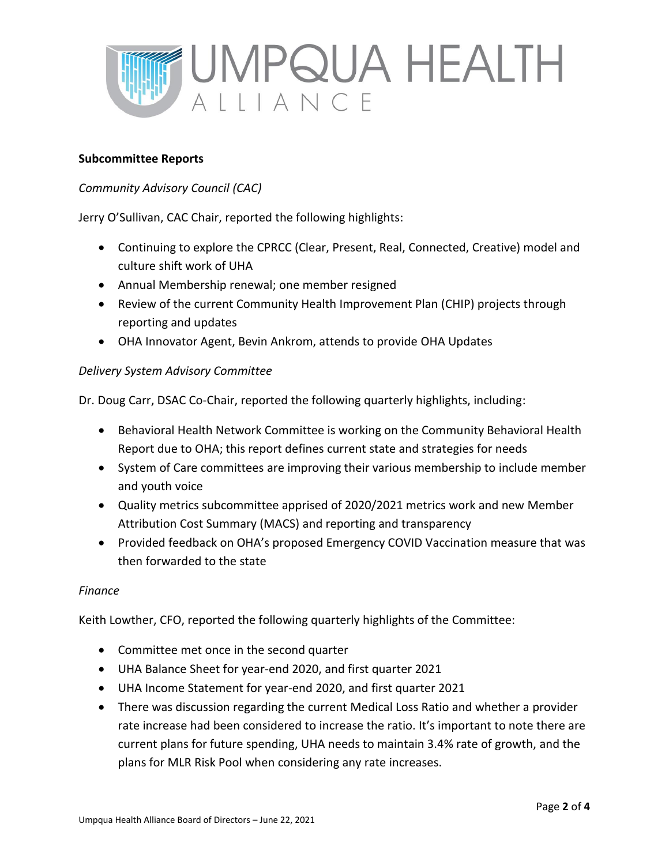

### **Subcommittee Reports**

### *Community Advisory Council (CAC)*

Jerry O'Sullivan, CAC Chair, reported the following highlights:

- Continuing to explore the CPRCC (Clear, Present, Real, Connected, Creative) model and culture shift work of UHA
- Annual Membership renewal; one member resigned
- Review of the current Community Health Improvement Plan (CHIP) projects through reporting and updates
- OHA Innovator Agent, Bevin Ankrom, attends to provide OHA Updates

### *Delivery System Advisory Committee*

Dr. Doug Carr, DSAC Co-Chair, reported the following quarterly highlights, including:

- Behavioral Health Network Committee is working on the Community Behavioral Health Report due to OHA; this report defines current state and strategies for needs
- System of Care committees are improving their various membership to include member and youth voice
- Quality metrics subcommittee apprised of 2020/2021 metrics work and new Member Attribution Cost Summary (MACS) and reporting and transparency
- Provided feedback on OHA's proposed Emergency COVID Vaccination measure that was then forwarded to the state

#### *Finance*

Keith Lowther, CFO, reported the following quarterly highlights of the Committee:

- Committee met once in the second quarter
- UHA Balance Sheet for year-end 2020, and first quarter 2021
- UHA Income Statement for year-end 2020, and first quarter 2021
- There was discussion regarding the current Medical Loss Ratio and whether a provider rate increase had been considered to increase the ratio. It's important to note there are current plans for future spending, UHA needs to maintain 3.4% rate of growth, and the plans for MLR Risk Pool when considering any rate increases.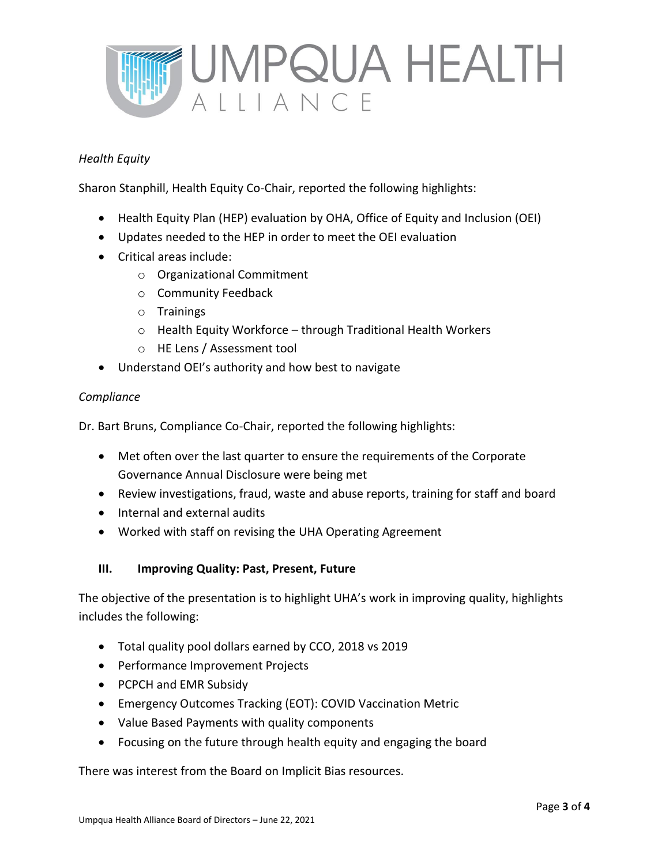

# *Health Equity*

Sharon Stanphill, Health Equity Co-Chair, reported the following highlights:

- Health Equity Plan (HEP) evaluation by OHA, Office of Equity and Inclusion (OEI)
- Updates needed to the HEP in order to meet the OEI evaluation
- Critical areas include:
	- o Organizational Commitment
	- o Community Feedback
	- o Trainings
	- o Health Equity Workforce through Traditional Health Workers
	- o HE Lens / Assessment tool
- Understand OEI's authority and how best to navigate

### *Compliance*

Dr. Bart Bruns, Compliance Co-Chair, reported the following highlights:

- Met often over the last quarter to ensure the requirements of the Corporate Governance Annual Disclosure were being met
- Review investigations, fraud, waste and abuse reports, training for staff and board
- Internal and external audits
- Worked with staff on revising the UHA Operating Agreement

# **III. Improving Quality: Past, Present, Future**

The objective of the presentation is to highlight UHA's work in improving quality, highlights includes the following:

- Total quality pool dollars earned by CCO, 2018 vs 2019
- Performance Improvement Projects
- PCPCH and EMR Subsidy
- Emergency Outcomes Tracking (EOT): COVID Vaccination Metric
- Value Based Payments with quality components
- Focusing on the future through health equity and engaging the board

There was interest from the Board on Implicit Bias resources.